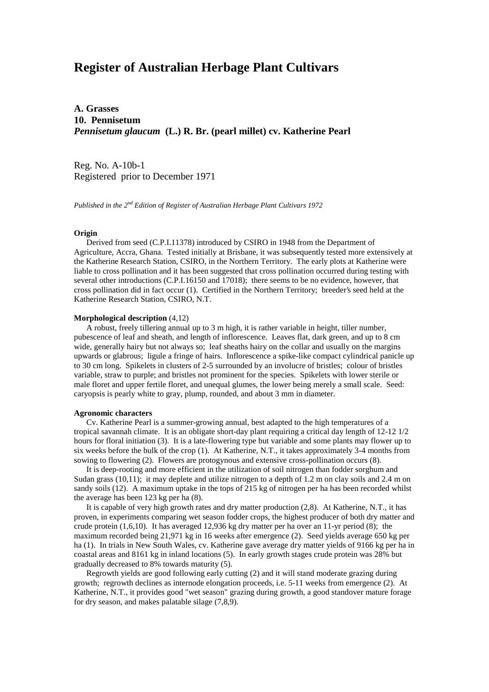# **Register of Australian Herbage Plant Cultivars**

**A. Grasses 10. Pennisetum** *Pennisetum glaucum* **(L.) R. Br. (pearl millet) cv. Katherine Pearl**

Reg. No. A-10b-1 Registered prior to December 1971

*Published in the 2nd Edition of Register of Australian Herbage Plant Cultivars 1972*

## **Origin**

 Derived from seed (C.P.I.11378) introduced by CSIRO in 1948 from the Department of Agriculture, Accra, Ghana. Tested initially at Brisbane, it was subsequently tested more extensively at the Katherine Research Station, CSIRO, in the Northern Territory. The early plots at Katherine were liable to cross pollination and it has been suggested that cross pollination occurred during testing with several other introductions (C.P.I.16150 and 17018); there seems to be no evidence, however, that cross pollination did in fact occur (1). Certified in the Northern Territory; breeder's seed held at the Katherine Research Station, CSIRO, N.T.

# **Morphological description** (4,12)

 A robust, freely tillering annual up to 3 m high, it is rather variable in height, tiller number, pubescence of leaf and sheath, and length of inflorescence. Leaves flat, dark green, and up to 8 cm wide, generally hairy but not always so; leaf sheaths hairy on the collar and usually on the margins upwards or glabrous; ligule a fringe of hairs. Inflorescence a spike-like compact cylindrical panicle up to 30 cm long. Spikelets in clusters of 2-5 surrounded by an involucre of bristles; colour of bristles variable, straw to purple; and bristles not prominent for the species. Spikelets with lower sterile or male floret and upper fertile floret, and unequal glumes, the lower being merely a small scale. Seed: caryopsis is pearly white to gray, plump, rounded, and about 3 mm in diameter.

#### **Agronomic characters**

 Cv. Katherine Pearl is a summer-growing annual, best adapted to the high temperatures of a tropical savannah climate. It is an obligate short-day plant requiring a critical day length of 12-12 1/2 hours for floral initiation (3). It is a late-flowering type but variable and some plants may flower up to six weeks before the bulk of the crop (1). At Katherine, N.T., it takes approximately 3-4 months from sowing to flowering (2). Flowers are protogynous and extensive cross-pollination occurs (8).

 It is deep-rooting and more efficient in the utilization of soil nitrogen than fodder sorghum and Sudan grass (10,11); it may deplete and utilize nitrogen to a depth of 1.2 m on clay soils and 2.4 m on sandy soils (12). A maximum uptake in the tops of 215 kg of nitrogen per ha has been recorded whilst the average has been 123 kg per ha (8).

 It is capable of very high growth rates and dry matter production (2,8). At Katherine, N.T., it has proven, in experiments comparing wet season fodder crops, the highest producer of both dry matter and crude protein  $(1,6,10)$ . It has averaged 12,936 kg dry matter per ha over an 11-yr period (8); the maximum recorded being 21,971 kg in 16 weeks after emergence (2). Seed yields average 650 kg per ha (1). In trials in New South Wales, cv. Katherine gave average dry matter yields of 9166 kg per ha in coastal areas and 8161 kg in inland locations (5). In early growth stages crude protein was 28% but gradually decreased to 8% towards maturity (5).

 Regrowth yields are good following early cutting (2) and it will stand moderate grazing during growth; regrowth declines as internode elongation proceeds, i.e. 5-11 weeks from emergence (2). At Katherine, N.T., it provides good "wet season" grazing during growth, a good standover mature forage for dry season, and makes palatable silage (7,8,9).